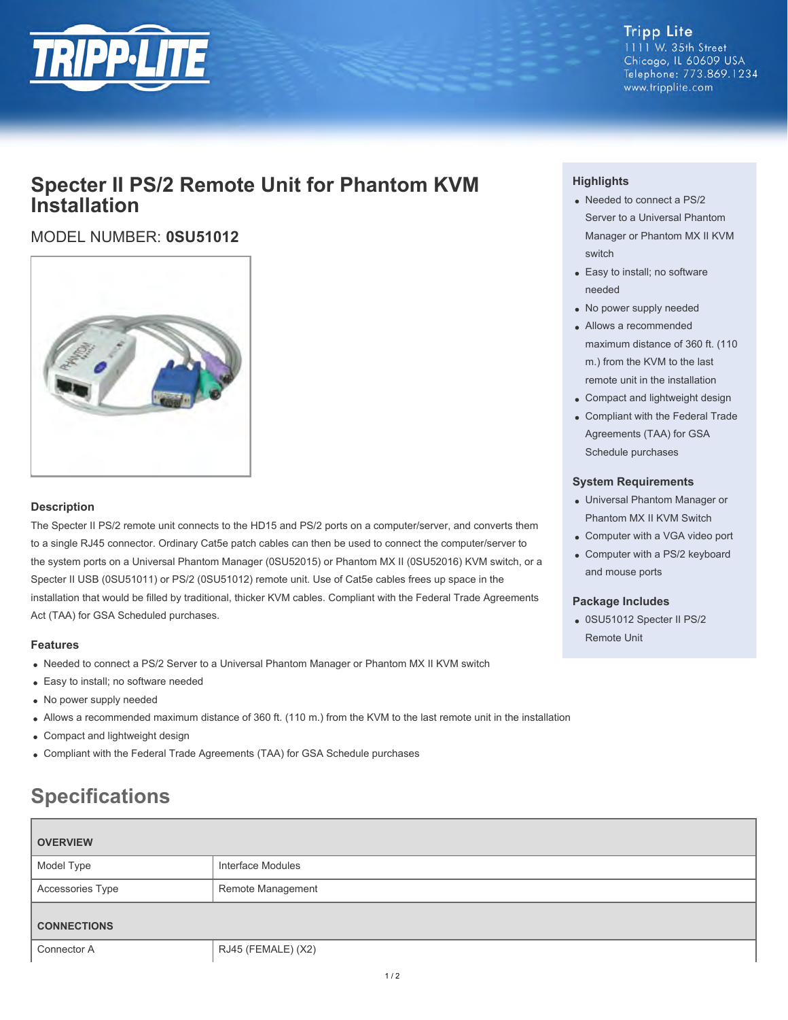

#### **Tripp Lite** 1111 W. 35th Street Chicago, IL 60609 USA Telephone: 773.869.1234 www.tripplite.com

## **Specter II PS/2 Remote Unit for Phantom KVM Installation**

### MODEL NUMBER: **0SU51012**



#### **Description**

The Specter II PS/2 remote unit connects to the HD15 and PS/2 ports on a computer/server, and converts them to a single RJ45 connector. Ordinary Cat5e patch cables can then be used to connect the computer/server to the system ports on a Universal Phantom Manager (0SU52015) or Phantom MX II (0SU52016) KVM switch, or a Specter II USB (0SU51011) or PS/2 (0SU51012) remote unit. Use of Cat5e cables frees up space in the installation that would be filled by traditional, thicker KVM cables. Compliant with the Federal Trade Agreements Act (TAA) for GSA Scheduled purchases.

#### **Features**

- Needed to connect a PS/2 Server to a Universal Phantom Manager or Phantom MX II KVM switch
- Easy to install; no software needed
- No power supply needed
- Allows a recommended maximum distance of 360 ft. (110 m.) from the KVM to the last remote unit in the installation
- Compact and lightweight design
- Compliant with the Federal Trade Agreements (TAA) for GSA Schedule purchases

# **Specifications**

| <b>OVERVIEW</b>    |                    |
|--------------------|--------------------|
| Model Type         | Interface Modules  |
| Accessories Type   | Remote Management  |
| <b>CONNECTIONS</b> |                    |
| Connector A        | RJ45 (FEMALE) (X2) |

#### **Highlights**

- Needed to connect a PS/2 Server to a Universal Phantom Manager or Phantom MX II KVM switch
- Easy to install; no software needed
- No power supply needed
- Allows a recommended maximum distance of 360 ft. (110 m.) from the KVM to the last remote unit in the installation
- Compact and lightweight design
- Compliant with the Federal Trade Agreements (TAA) for GSA Schedule purchases

#### **System Requirements**

- Universal Phantom Manager or Phantom MX II KVM Switch
- Computer with a VGA video port
- Computer with a PS/2 keyboard and mouse ports

#### **Package Includes**

0SU51012 Specter II PS/2 Remote Unit